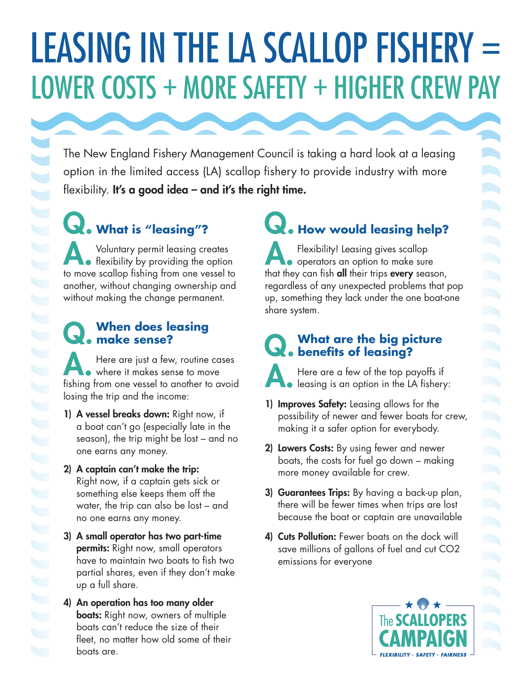# LEASING IN THE LA SCALLOP FISHERY = LOWER COSTS + MORE SAFETY + HIGHER CREW PAY

The New England Fishery Management Council is taking a hard look at a leasing option in the limited access (LA) scallop fishery to provide industry with more flexibility. It's a good idea - and it's the right time.

### Q. **What is "leasing"?**

1777777

A. Voluntary permit leasing creates flexibility by providing the option to move scallop fishing from one vessel to another, without changing ownership and without making the change permanent.

## Q. **When does leasing make sense?**

A. Here are just a few, routine cases<br>
where it makes sense to move fishing from one vessel to another to avoid losing the trip and the income:

- 1) A vessel breaks down: Right now, if a boat can't go (especially late in the season), the trip might be lost – and no one earns any money.
- 2) A captain can't make the trip: Right now, if a captain gets sick or something else keeps them off the water, the trip can also be lost – and no one earns any money.
- 3) A small operator has two part-time permits: Right now, small operators have to maintain two boats to fish two partial shares, even if they don't make up a full share.
- 4) An operation has too many older **boats:** Right now, owners of multiple boats can't reduce the size of their fleet, no matter how old some of their boats are.

Q. **How would leasing help?** Flexibility! Leasing gives scallop<br>
operators an option to make sure that they can fish all their trips every season,

A

regardless of any unexpected problems that pop up, something they lack under the one boat-one share system.

## Q. **What are the big picture benefits of leasing?**

A. Here are a few of the top payoffs if leasing is an option in the LA fishery:

- 1) Improves Safety: Leasing allows for the possibility of newer and fewer boats for crew, making it a safer option for everybody.
- 2) Lowers Costs: By using fewer and newer boats, the costs for fuel go down – making more money available for crew.
- 3) Guarantees Trips: By having a back-up plan, there will be fewer times when trips are lost because the boat or captain are unavailable
- 4) Cuts Pollution: Fewer boats on the dock will save millions of gallons of fuel and cut CO2 emissions for everyone